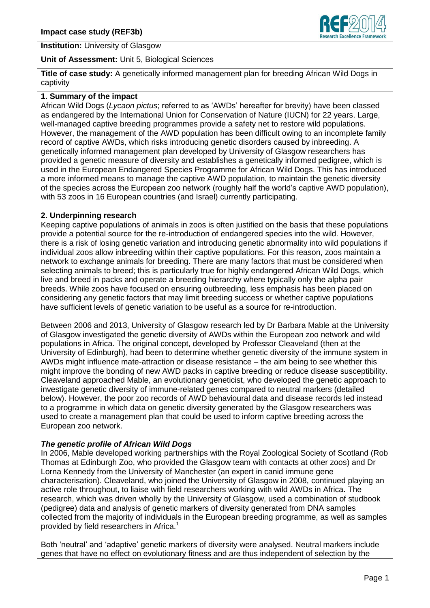



# **Unit of Assessment:** Unit 5, Biological Sciences

**Title of case study:** A genetically informed management plan for breeding African Wild Dogs in captivity

#### **1. Summary of the impact**

African Wild Dogs (*Lycaon pictus*; referred to as 'AWDs' hereafter for brevity) have been classed as endangered by the International Union for Conservation of Nature (IUCN) for 22 years. Large, well-managed captive breeding programmes provide a safety net to restore wild populations. However, the management of the AWD population has been difficult owing to an incomplete family record of captive AWDs, which risks introducing genetic disorders caused by inbreeding. A genetically informed management plan developed by University of Glasgow researchers has provided a genetic measure of diversity and establishes a genetically informed pedigree, which is used in the European Endangered Species Programme for African Wild Dogs. This has introduced a more informed means to manage the captive AWD population, to maintain the genetic diversity of the species across the European zoo network (roughly half the world's captive AWD population), with 53 zoos in 16 European countries (and Israel) currently participating.

#### **2. Underpinning research**

Keeping captive populations of animals in zoos is often justified on the basis that these populations provide a potential source for the re-introduction of endangered species into the wild. However, there is a risk of losing genetic variation and introducing genetic abnormality into wild populations if individual zoos allow inbreeding within their captive populations. For this reason, zoos maintain a network to exchange animals for breeding. There are many factors that must be considered when selecting animals to breed; this is particularly true for highly endangered African Wild Dogs, which live and breed in packs and operate a breeding hierarchy where typically only the alpha pair breeds. While zoos have focused on ensuring outbreeding, less emphasis has been placed on considering any genetic factors that may limit breeding success or whether captive populations have sufficient levels of genetic variation to be useful as a source for re-introduction.

Between 2006 and 2013, University of Glasgow research led by Dr Barbara Mable at the University of Glasgow investigated the genetic diversity of AWDs within the European zoo network and wild populations in Africa. The original concept, developed by Professor Cleaveland (then at the University of Edinburgh), had been to determine whether genetic diversity of the immune system in AWDs might influence mate-attraction or disease resistance – the aim being to see whether this might improve the bonding of new AWD packs in captive breeding or reduce disease susceptibility. Cleaveland approached Mable, an evolutionary geneticist, who developed the genetic approach to investigate genetic diversity of immune-related genes compared to neutral markers (detailed below). However, the poor zoo records of AWD behavioural data and disease records led instead to a programme in which data on genetic diversity generated by the Glasgow researchers was used to create a management plan that could be used to inform captive breeding across the European zoo network.

## *The genetic profile of African Wild Dogs*

In 2006, Mable developed working partnerships with the Royal Zoological Society of Scotland (Rob Thomas at Edinburgh Zoo, who provided the Glasgow team with contacts at other zoos) and Dr Lorna Kennedy from the University of Manchester (an expert in canid immune gene characterisation). Cleaveland, who joined the University of Glasgow in 2008, continued playing an active role throughout, to liaise with field researchers working with wild AWDs in Africa. The research, which was driven wholly by the University of Glasgow, used a combination of studbook (pedigree) data and analysis of genetic markers of diversity generated from DNA samples collected from the majority of individuals in the European breeding programme, as well as samples provided by field researchers in Africa.<sup>1</sup>

Both 'neutral' and 'adaptive' genetic markers of diversity were analysed. Neutral markers include genes that have no effect on evolutionary fitness and are thus independent of selection by the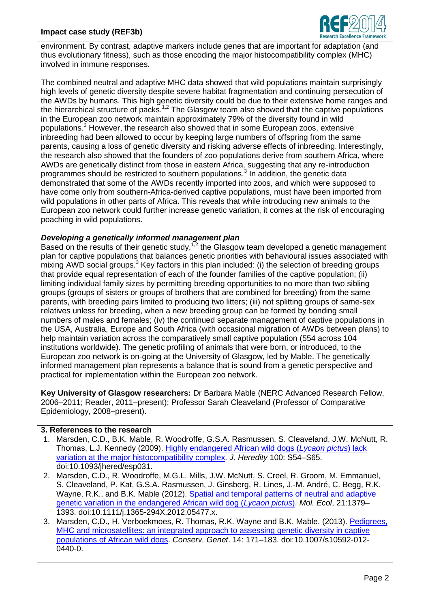

environment. By contrast, adaptive markers include genes that are important for adaptation (and thus evolutionary fitness), such as those encoding the major histocompatibility complex (MHC) involved in immune responses.

The combined neutral and adaptive MHC data showed that wild populations maintain surprisingly high levels of genetic diversity despite severe habitat fragmentation and continuing persecution of the AWDs by humans. This high genetic diversity could be due to their extensive home ranges and the hierarchical structure of packs.<sup>1,2</sup> The Glasgow team also showed that the captive populations in the European zoo network maintain approximately 79% of the diversity found in wild populations. <sup>3</sup> However, the research also showed that in some European zoos, extensive inbreeding had been allowed to occur by keeping large numbers of offspring from the same parents, causing a loss of genetic diversity and risking adverse effects of inbreeding. Interestingly, the research also showed that the founders of zoo populations derive from southern Africa, where AWDs are genetically distinct from those in eastern Africa, suggesting that any re-introduction programmes should be restricted to southern populations.<sup>3</sup> In addition, the genetic data demonstrated that some of the AWDs recently imported into zoos, and which were supposed to have come only from southern-Africa-derived captive populations, must have been imported from wild populations in other parts of Africa. This reveals that while introducing new animals to the European zoo network could further increase genetic variation, it comes at the risk of encouraging poaching in wild populations.

# *Developing a genetically informed management plan*

Based on the results of their genetic study,<sup>1,2</sup> the Glasgow team developed a genetic management plan for captive populations that balances genetic priorities with behavioural issues associated with mixing AWD social groups.<sup>3</sup> Key factors in this plan included: (i) the selection of breeding groups that provide equal representation of each of the founder families of the captive population; (ii) limiting individual family sizes by permitting breeding opportunities to no more than two sibling groups (groups of sisters or groups of brothers that are combined for breeding) from the same parents, with breeding pairs limited to producing two litters; (iii) not splitting groups of same-sex relatives unless for breeding, when a new breeding group can be formed by bonding small numbers of males and females; (iv) the continued separate management of captive populations in the USA, Australia, Europe and South Africa (with occasional migration of AWDs between plans) to help maintain variation across the comparatively small captive population (554 across 104 institutions worldwide). The genetic profiling of animals that were born, or introduced, to the European zoo network is on-going at the University of Glasgow, led by Mable. The genetically informed management plan represents a balance that is sound from a genetic perspective and practical for implementation within the European zoo network.

**Key University of Glasgow researchers:** Dr Barbara Mable (NERC Advanced Research Fellow, 2006–2011; Reader, 2011–present); Professor Sarah Cleaveland (Professor of Comparative Epidemiology, 2008–present).

## **3. References to the research**

- 1. Marsden, C.D., B.K. Mable, R. Woodroffe, G.S.A. Rasmussen, S. Cleaveland, J.W. McNutt, R. Thomas, L.J. Kennedy (2009). [Highly endangered African wild dogs \(](http://dx.doi.org/10.1093/jhered/esp031)*Lycaon pictus*) lack [variation at the major histocompatibility complex.](http://dx.doi.org/10.1093/jhered/esp031) *J. Heredity* 100: S54–S65. doi:10.1093/jhered/esp031.
- 2. Marsden, C.D., R. Woodroffe, M.G.L. Mills, J.W. McNutt, S. Creel, R. Groom, M. Emmanuel, S. Cleaveland, P. Kat, G.S.A. Rasmussen, J. Ginsberg, R. Lines, J.-M. André, C. Begg, R.K. Wayne, R.K., and B.K. Mable (2012). [Spatial and temporal patterns of neutral and adaptive](http://dx.doi.org/10.1111/j.1365-294X.2012.05477.x)  [genetic variation in the endangered African wild dog \(](http://dx.doi.org/10.1111/j.1365-294X.2012.05477.x)*Lycaon pictus*). *Mol. Ecol*, 21:1379– 1393. doi:10.1111/j.1365-294X.2012.05477.x.
- 3. Marsden, C.D., H. Verboekmoes, R. Thomas, R.K. Wayne and B.K. Mable. (2013). [Pedigrees,](http://dx.doi.org/10.1007/s10592-012-0440-0)  [MHC and microsatellites: an integrated approach to assessing genetic diversity in captive](http://dx.doi.org/10.1007/s10592-012-0440-0)  [populations of African wild dogs.](http://dx.doi.org/10.1007/s10592-012-0440-0) *Conserv. Genet*. 14: 171–183. doi:10.1007/s10592-012- 0440-0.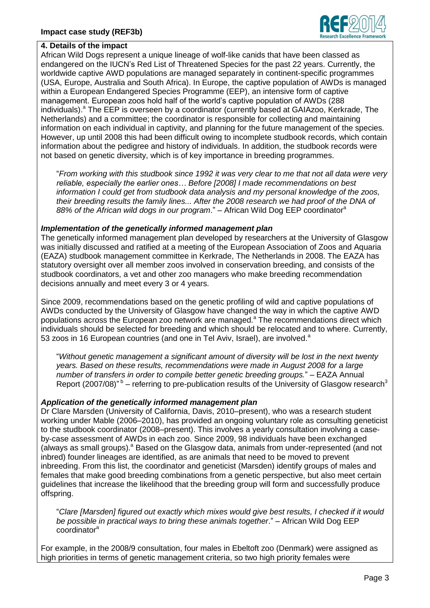

#### **4. Details of the impact**

African Wild Dogs represent a unique lineage of wolf-like canids that have been classed as endangered on the IUCN's Red List of Threatened Species for the past 22 years. Currently, the worldwide captive AWD populations are managed separately in continent-specific programmes (USA, Europe, Australia and South Africa). In Europe, the captive population of AWDs is managed within a European Endangered Species Programme (EEP), an intensive form of captive management. European zoos hold half of the world's captive population of AWDs (288 individuals).<sup>a</sup> The EEP is overseen by a coordinator (currently based at GAIAzoo, Kerkrade, The Netherlands) and a committee; the coordinator is responsible for collecting and maintaining information on each individual in captivity, and planning for the future management of the species. However, up until 2008 this had been difficult owing to incomplete studbook records, which contain information about the pedigree and history of individuals. In addition, the studbook records were not based on genetic diversity, which is of key importance in breeding programmes.

"*From working with this studbook since 1992 it was very clear to me that not all data were very reliable, especially the earlier ones… Before [2008] I made recommendations on best information I could get from studbook data analysis and my personal knowledge of the zoos, their breeding results the family lines... After the 2008 research we had proof of the DNA of 88% of the African wild dogs in our program*." – African Wild Dog EEP coordinator<sup>a</sup>

#### *Implementation of the genetically informed management plan*

The genetically informed management plan developed by researchers at the University of Glasgow was initially discussed and ratified at a meeting of the European Association of Zoos and Aquaria (EAZA) studbook management committee in Kerkrade, The Netherlands in 2008. The EAZA has statutory oversight over all member zoos involved in conservation breeding, and consists of the studbook coordinators, a vet and other zoo managers who make breeding recommendation decisions annually and meet every 3 or 4 years.

Since 2009, recommendations based on the genetic profiling of wild and captive populations of AWDs conducted by the University of Glasgow have changed the way in which the captive AWD populations across the European zoo network are managed.<sup>a</sup> The recommendations direct which individuals should be selected for breeding and which should be relocated and to where. Currently, 53 zoos in 16 European countries (and one in Tel Aviv, Israel), are involved.<sup>a</sup>

"*Without genetic management a significant amount of diversity will be lost in the next twenty years. Based on these results, recommendations were made in August 2008 for a large number of transfers in order to compile better genetic breeding groups.*" – EAZA Annual Report (2007/08)<sup>"b</sup> – referring to pre-publication results of the University of Glasgow research<sup>3</sup>

## *Application of the genetically informed management plan*

Dr Clare Marsden (University of California, Davis, 2010–present), who was a research student working under Mable (2006–2010), has provided an ongoing voluntary role as consulting geneticist to the studbook coordinator (2008–present). This involves a yearly consultation involving a caseby-case assessment of AWDs in each zoo. Since 2009, 98 individuals have been exchanged (always as small groups). $^{\circ}$  Based on the Glasgow data, animals from under-represented (and not inbred) founder lineages are identified, as are animals that need to be moved to prevent inbreeding. From this list, the coordinator and geneticist (Marsden) identify groups of males and females that make good breeding combinations from a genetic perspective, but also meet certain guidelines that increase the likelihood that the breeding group will form and successfully produce offspring.

"*Clare [Marsden] figured out exactly which mixes would give best results, I checked if it would be possible in practical ways to bring these animals together*." – African Wild Dog EEP coordinator<sup>a</sup>

For example, in the 2008/9 consultation, four males in Ebeltoft zoo (Denmark) were assigned as high priorities in terms of genetic management criteria, so two high priority females were